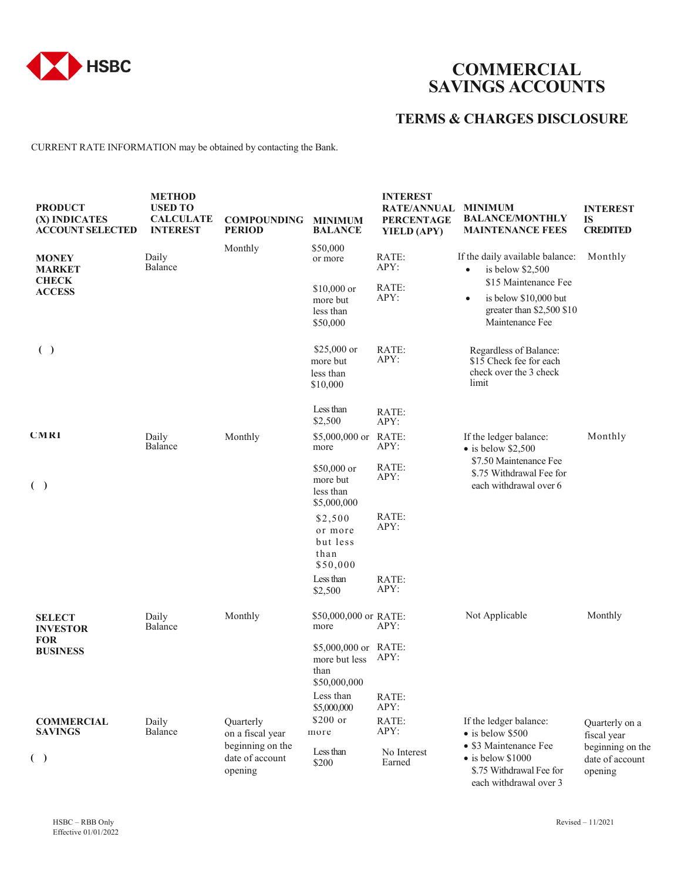

## **COMMERCIAL SAVINGS ACCOUNTS**

## **TERMS & CHARGES DISCLOSURE**

CURRENT RATE INFORMATION may be obtained by contacting the Bank.

| <b>PRODUCT</b><br>(X) INDICATES<br><b>ACCOUNT SELECTED</b> | <b>METHOD</b><br><b>USED TO</b><br><b>CALCULATE</b><br><b>INTEREST</b> | <b>COMPOUNDING</b><br><b>PERIOD</b>            | <b>MINIMUM</b><br><b>BALANCE</b>                              | <b>INTEREST</b><br><b>RATE/ANNUAL</b><br><b>PERCENTAGE</b><br>YIELD (APY) | <b>MINIMUM</b><br><b>BALANCE/MONTHLY</b><br><b>MAINTENANCE FEES</b>                                        | <b>INTEREST</b><br>IS<br><b>CREDITED</b>       |
|------------------------------------------------------------|------------------------------------------------------------------------|------------------------------------------------|---------------------------------------------------------------|---------------------------------------------------------------------------|------------------------------------------------------------------------------------------------------------|------------------------------------------------|
| <b>MONEY</b><br><b>MARKET</b>                              | Daily<br>Balance                                                       | Monthly                                        | \$50,000<br>or more                                           | RATE:<br>APY:                                                             | If the daily available balance:<br>is below $$2,500$<br>$\bullet$                                          | Monthly                                        |
| <b>CHECK</b><br><b>ACCESS</b>                              |                                                                        |                                                | $$10,000$ or<br>more but<br>less than<br>\$50,000             | RATE:<br>APY:                                                             | \$15 Maintenance Fee<br>is below \$10,000 but<br>$\bullet$<br>greater than \$2,500 \$10<br>Maintenance Fee |                                                |
| ( )                                                        |                                                                        |                                                | \$25,000 or<br>more but<br>less than<br>\$10,000              | RATE:<br>APY:                                                             | Regardless of Balance:<br>\$15 Check fee for each<br>check over the 3 check<br>limit                       |                                                |
|                                                            |                                                                        |                                                | Less than<br>\$2,500                                          | RATE:<br>APY:                                                             |                                                                                                            |                                                |
| <b>CMRI</b>                                                | Daily<br>Balance                                                       | Monthly                                        | $$5,000,000$ or<br>more                                       | RATE:<br>APY:                                                             | If the ledger balance:<br>$\bullet$ is below \$2,500                                                       | Monthly                                        |
| ( )                                                        |                                                                        |                                                | \$50,000 or<br>more but<br>less than<br>\$5,000,000           | RATE:<br>APY:                                                             | \$7.50 Maintenance Fee<br>\$.75 Withdrawal Fee for<br>each withdrawal over 6                               |                                                |
|                                                            |                                                                        |                                                | \$2,500<br>or more<br>but less<br>than<br>\$50,000            | RATE:<br>APY:                                                             |                                                                                                            |                                                |
|                                                            |                                                                        |                                                | Less than<br>\$2,500                                          | RATE:<br>APY:                                                             |                                                                                                            |                                                |
| <b>SELECT</b><br><b>INVESTOR</b>                           | Daily<br>Balance                                                       | Monthly                                        | \$50,000,000 or RATE:<br>more                                 | APY:                                                                      | Not Applicable                                                                                             | Monthly                                        |
| <b>FOR</b><br><b>BUSINESS</b>                              |                                                                        |                                                | \$5,000,000 or RATE:<br>more but less<br>than<br>\$50,000,000 | APY:                                                                      |                                                                                                            |                                                |
|                                                            |                                                                        |                                                | Less than<br>\$5,000,000                                      | RATE:<br>APY:                                                             |                                                                                                            |                                                |
| <b>COMMERCIAL</b><br><b>SAVINGS</b>                        | Daily<br>Balance                                                       | Quarterly<br>on a fiscal year                  | \$200 or<br>more                                              | RATE:<br>APY:                                                             | If the ledger balance:<br>$\bullet$ is below \$500                                                         | Quarterly on a<br>fiscal year                  |
| ( )                                                        |                                                                        | beginning on the<br>date of account<br>opening | Less than<br>\$200                                            | No Interest<br>Earned                                                     | • \$3 Maintenance Fee<br>$\bullet$ is below \$1000<br>\$.75 Withdrawal Fee for<br>each withdrawal over 3   | beginning on the<br>date of account<br>opening |